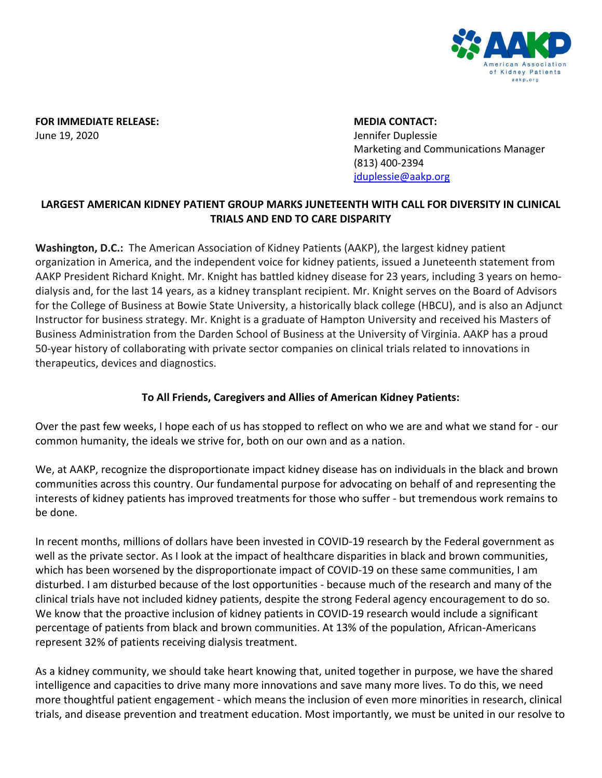

**FOR IMMEDIATE RELEASE: MEDIA CONTACT:** June 19, 2020 Jennifer Duplessie

Marketing and Communications Manager (813) 400-2394 [jduplessie@aakp.org](mailto:jduplessie@aakp.org)

## **LARGEST AMERICAN KIDNEY PATIENT GROUP MARKS JUNETEENTH WITH CALL FOR DIVERSITY IN CLINICAL TRIALS AND END TO CARE DISPARITY**

**Washington, D.C.:** The American Association of Kidney Patients (AAKP), the largest kidney patient organization in America, and the independent voice for kidney patients, issued a Juneteenth statement from AAKP President Richard Knight. Mr. Knight has battled kidney disease for 23 years, including 3 years on hemodialysis and, for the last 14 years, as a kidney transplant recipient. Mr. Knight serves on the Board of Advisors for the College of Business at Bowie State University, a historically black college (HBCU), and is also an Adjunct Instructor for business strategy. Mr. Knight is a graduate of Hampton University and received his Masters of Business Administration from the Darden School of Business at the University of Virginia. AAKP has a proud 50-year history of collaborating with private sector companies on clinical trials related to innovations in therapeutics, devices and diagnostics.

## **To All Friends, Caregivers and Allies of American Kidney Patients:**

Over the past few weeks, I hope each of us has stopped to reflect on who we are and what we stand for - our common humanity, the ideals we strive for, both on our own and as a nation.

We, at AAKP, recognize the disproportionate impact kidney disease has on individuals in the black and brown communities across this country. Our fundamental purpose for advocating on behalf of and representing the interests of kidney patients has improved treatments for those who suffer - but tremendous work remains to be done.

In recent months, millions of dollars have been invested in COVID-19 research by the Federal government as well as the private sector. As I look at the impact of healthcare disparities in black and brown communities, which has been worsened by the disproportionate impact of COVID-19 on these same communities, I am disturbed. I am disturbed because of the lost opportunities - because much of the research and many of the clinical trials have not included kidney patients, despite the strong Federal agency encouragement to do so. We know that the proactive inclusion of kidney patients in COVID-19 research would include a significant percentage of patients from black and brown communities. At 13% of the population, African-Americans represent 32% of patients receiving dialysis treatment.

As a kidney community, we should take heart knowing that, united together in purpose, we have the shared intelligence and capacities to drive many more innovations and save many more lives. To do this, we need more thoughtful patient engagement - which means the inclusion of even more minorities in research, clinical trials, and disease prevention and treatment education. Most importantly, we must be united in our resolve to